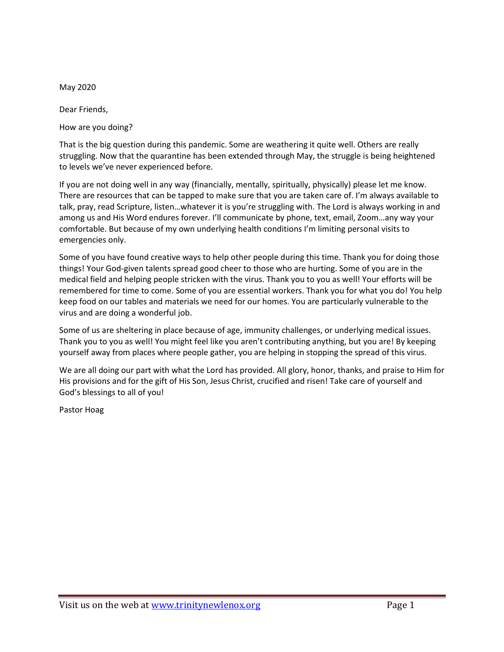May 2020

Dear Friends,

How are you doing?

That is the big question during this pandemic. Some are weathering it quite well. Others are really struggling. Now that the quarantine has been extended through May, the struggle is being heightened to levels we've never experienced before.

If you are not doing well in any way (financially, mentally, spiritually, physically) please let me know. There are resources that can be tapped to make sure that you are taken care of. I'm always available to talk, pray, read Scripture, listen…whatever it is you're struggling with. The Lord is always working in and among us and His Word endures forever. I'll communicate by phone, text, email, Zoom…any way your comfortable. But because of my own underlying health conditions I'm limiting personal visits to emergencies only.

Some of you have found creative ways to help other people during this time. Thank you for doing those things! Your God-given talents spread good cheer to those who are hurting. Some of you are in the medical field and helping people stricken with the virus. Thank you to you as well! Your efforts will be remembered for time to come. Some of you are essential workers. Thank you for what you do! You help keep food on our tables and materials we need for our homes. You are particularly vulnerable to the virus and are doing a wonderful job.

Some of us are sheltering in place because of age, immunity challenges, or underlying medical issues. Thank you to you as well! You might feel like you aren't contributing anything, but you are! By keeping yourself away from places where people gather, you are helping in stopping the spread of this virus.

We are all doing our part with what the Lord has provided. All glory, honor, thanks, and praise to Him for His provisions and for the gift of His Son, Jesus Christ, crucified and risen! Take care of yourself and God's blessings to all of you!

Pastor Hoag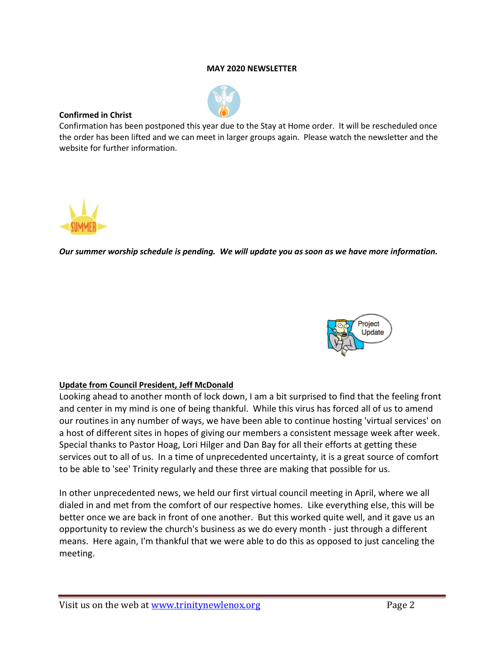#### **MAY 2020 NEWSLETTER**



### **Confirmed in Christ**

Confirmation has been postponed this year due to the Stay at Home order. It will be rescheduled once the order has been lifted and we can meet in larger groups again. Please watch the newsletter and the website for further information.



*Our summer worship schedule is pending. We will update you as soon as we have more information.*



# **Update from Council President, Jeff McDonald**

Looking ahead to another month of lock down, I am a bit surprised to find that the feeling front and center in my mind is one of being thankful. While this virus has forced all of us to amend our routines in any number of ways, we have been able to continue hosting 'virtual services' on a host of different sites in hopes of giving our members a consistent message week after week. Special thanks to Pastor Hoag, Lori Hilger and Dan Bay for all their efforts at getting these services out to all of us. In a time of unprecedented uncertainty, it is a great source of comfort to be able to 'see' Trinity regularly and these three are making that possible for us.

In other unprecedented news, we held our first virtual council meeting in April, where we all dialed in and met from the comfort of our respective homes. Like everything else, this will be better once we are back in front of one another. But this worked quite well, and it gave us an opportunity to review the church's business as we do every month - just through a different means. Here again, I'm thankful that we were able to do this as opposed to just canceling the meeting.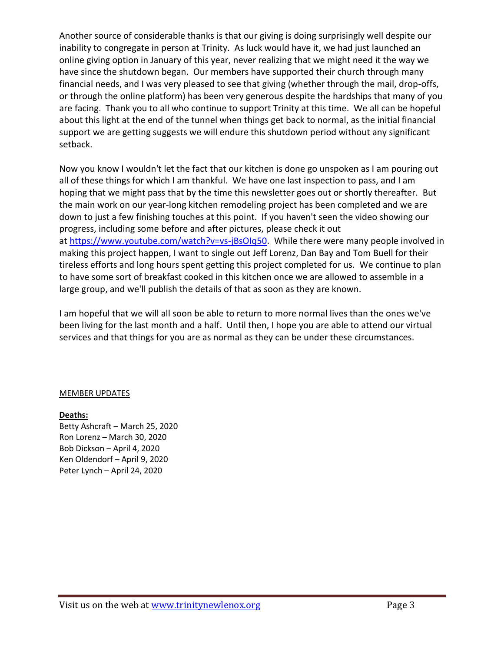Another source of considerable thanks is that our giving is doing surprisingly well despite our inability to congregate in person at Trinity. As luck would have it, we had just launched an online giving option in January of this year, never realizing that we might need it the way we have since the shutdown began. Our members have supported their church through many financial needs, and I was very pleased to see that giving (whether through the mail, drop-offs, or through the online platform) has been very generous despite the hardships that many of you are facing. Thank you to all who continue to support Trinity at this time. We all can be hopeful about this light at the end of the tunnel when things get back to normal, as the initial financial support we are getting suggests we will endure this shutdown period without any significant setback.

Now you know I wouldn't let the fact that our kitchen is done go unspoken as I am pouring out all of these things for which I am thankful. We have one last inspection to pass, and I am hoping that we might pass that by the time this newsletter goes out or shortly thereafter. But the main work on our year-long kitchen remodeling project has been completed and we are down to just a few finishing touches at this point. If you haven't seen the video showing our progress, including some before and after pictures, please check it out at [https://www.youtube.com/watch?v=vs-jBsOIq50.](https://www.youtube.com/watch?v=vs-jBsOIq50) While there were many people involved in making this project happen, I want to single out Jeff Lorenz, Dan Bay and Tom Buell for their tireless efforts and long hours spent getting this project completed for us. We continue to plan to have some sort of breakfast cooked in this kitchen once we are allowed to assemble in a large group, and we'll publish the details of that as soon as they are known.

I am hopeful that we will all soon be able to return to more normal lives than the ones we've been living for the last month and a half. Until then, I hope you are able to attend our virtual services and that things for you are as normal as they can be under these circumstances.

# MEMBER UPDATES

# **Deaths:**

Betty Ashcraft – March 25, 2020 Ron Lorenz – March 30, 2020 Bob Dickson – April 4, 2020 Ken Oldendorf – April 9, 2020 Peter Lynch – April 24, 2020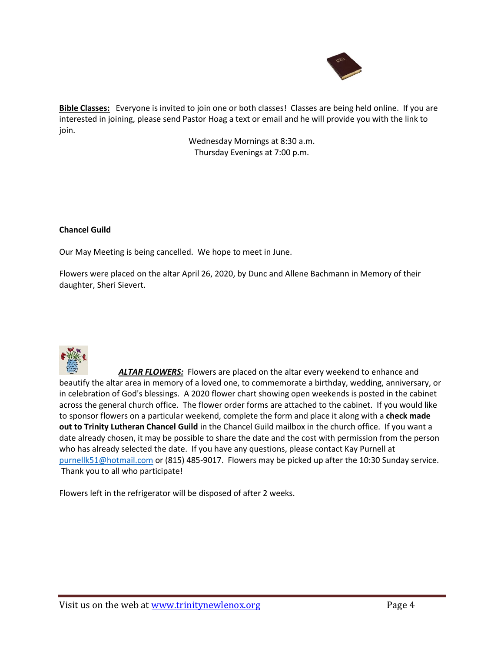

**Bible Classes:** Everyone is invited to join one or both classes! Classes are being held online. If you are interested in joining, please send Pastor Hoag a text or email and he will provide you with the link to join.

> Wednesday Mornings at 8:30 a.m. Thursday Evenings at 7:00 p.m.

#### **Chancel Guild**

Our May Meeting is being cancelled. We hope to meet in June.

Flowers were placed on the altar April 26, 2020, by Dunc and Allene Bachmann in Memory of their daughter, Sheri Sievert.



*ALTAR FLOWERS:* Flowers are placed on the altar every weekend to enhance and beautify the altar area in memory of a loved one, to commemorate a birthday, wedding, anniversary, or in celebration of God's blessings. A 2020 flower chart showing open weekends is posted in the cabinet across the general church office. The flower order forms are attached to the cabinet. If you would like to sponsor flowers on a particular weekend, complete the form and place it along with a **check made out to Trinity Lutheran Chancel Guild** in the Chancel Guild mailbox in the church office. If you want a date already chosen, it may be possible to share the date and the cost with permission from the person who has already selected the date. If you have any questions, please contact Kay Purnell at [purnellk51@hotmail.com](mailto:purnellk51@hotmail.com) or (815) 485-9017. Flowers may be picked up after the 10:30 Sunday service. Thank you to all who participate!

Flowers left in the refrigerator will be disposed of after 2 weeks.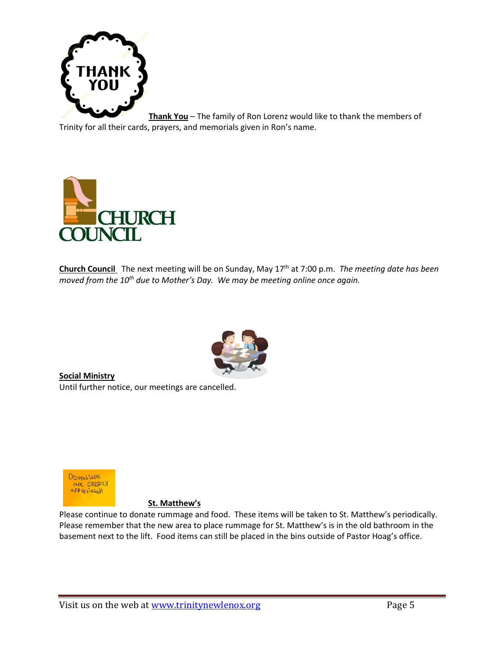

**Thank You** – The family of Ron Lorenz would like to thank the members of Trinity for all their cards, prayers, and memorials given in Ron's name.



**Church Council** The next meeting will be on Sunday, May 17 th at 7:00 p.m. *The meeting date has been moved from the 10 th due to Mother's Day. We may be meeting online once again.*



**Social Ministry**  Until further notice, our meetings are cancelled.



#### **St. Matthew's**

Please continue to donate rummage and food. These items will be taken to St. Matthew's periodically. Please remember that the new area to place rummage for St. Matthew's is in the old bathroom in the basement next to the lift. Food items can still be placed in the bins outside of Pastor Hoag's office.